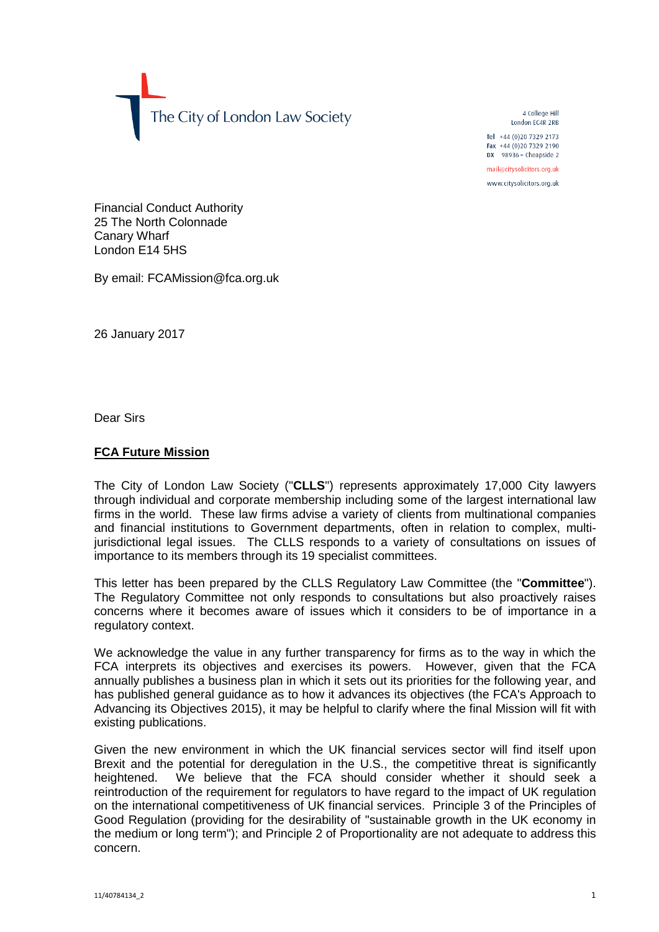The City of London Law Society

4 College Hill London FC4R 2RB

Tel +44 (0)20 7329 2173 Fax +44 (0) 20 7329 2190 DX  $98936$  - Cheapside 2

mail@citysolicitors.org.uk

www.citysolicitors.org.uk

Financial Conduct Authority 25 The North Colonnade Canary Wharf London E14 5HS

By email: FCAMission@fca.org.uk

26 January 2017

Dear Sirs

## **FCA Future Mission**

The City of London Law Society ("**CLLS**") represents approximately 17,000 City lawyers through individual and corporate membership including some of the largest international law firms in the world. These law firms advise a variety of clients from multinational companies and financial institutions to Government departments, often in relation to complex, multijurisdictional legal issues. The CLLS responds to a variety of consultations on issues of importance to its members through its 19 specialist committees.

This letter has been prepared by the CLLS Regulatory Law Committee (the "**Committee**"). The Regulatory Committee not only responds to consultations but also proactively raises concerns where it becomes aware of issues which it considers to be of importance in a regulatory context.

We acknowledge the value in any further transparency for firms as to the way in which the FCA interprets its objectives and exercises its powers. However, given that the FCA annually publishes a business plan in which it sets out its priorities for the following year, and has published general guidance as to how it advances its objectives (the FCA's Approach to Advancing its Objectives 2015), it may be helpful to clarify where the final Mission will fit with existing publications.

Given the new environment in which the UK financial services sector will find itself upon Brexit and the potential for deregulation in the U.S., the competitive threat is significantly heightened. We believe that the FCA should consider whether it should seek a reintroduction of the requirement for regulators to have regard to the impact of UK regulation on the international competitiveness of UK financial services. Principle 3 of the Principles of Good Regulation (providing for the desirability of "sustainable growth in the UK economy in the medium or long term"); and Principle 2 of Proportionality are not adequate to address this concern.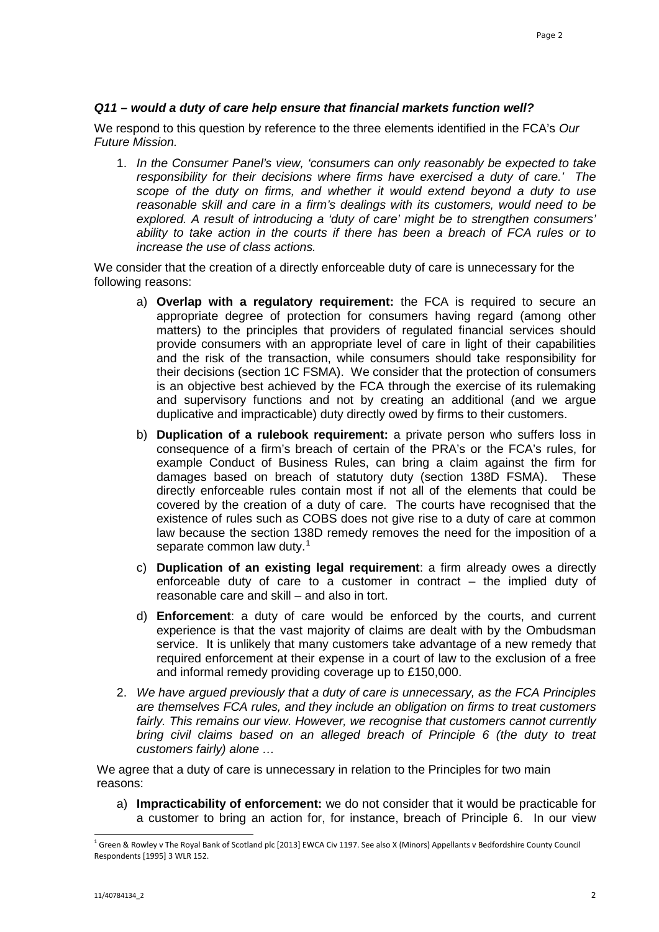## *Q11 – would a duty of care help ensure that financial markets function well?*

We respond to this question by reference to the three elements identified in the FCA's *Our Future Mission.*

1. *In the Consumer Panel's view, 'consumers can only reasonably be expected to take responsibility for their decisions where firms have exercised a duty of care.' The scope of the duty on firms, and whether it would extend beyond a duty to use reasonable skill and care in a firm's dealings with its customers, would need to be explored. A result of introducing a 'duty of care' might be to strengthen consumers' ability to take action in the courts if there has been a breach of FCA rules or to increase the use of class actions.*

We consider that the creation of a directly enforceable duty of care is unnecessary for the following reasons:

- a) **Overlap with a regulatory requirement:** the FCA is required to secure an appropriate degree of protection for consumers having regard (among other matters) to the principles that providers of regulated financial services should provide consumers with an appropriate level of care in light of their capabilities and the risk of the transaction, while consumers should take responsibility for their decisions (section 1C FSMA). We consider that the protection of consumers is an objective best achieved by the FCA through the exercise of its rulemaking and supervisory functions and not by creating an additional (and we argue duplicative and impracticable) duty directly owed by firms to their customers.
- b) **Duplication of a rulebook requirement:** a private person who suffers loss in consequence of a firm's breach of certain of the PRA's or the FCA's rules, for example Conduct of Business Rules, can bring a claim against the firm for damages based on breach of statutory duty (section 138D FSMA). These directly enforceable rules contain most if not all of the elements that could be covered by the creation of a duty of care. The courts have recognised that the existence of rules such as COBS does not give rise to a duty of care at common law because the section 138D remedy removes the need for the imposition of a separate common law duty.<sup>[1](#page-1-0)</sup>
- c) **Duplication of an existing legal requirement**: a firm already owes a directly enforceable duty of care to a customer in contract – the implied duty of reasonable care and skill – and also in tort.
- d) **Enforcement**: a duty of care would be enforced by the courts, and current experience is that the vast majority of claims are dealt with by the Ombudsman service. It is unlikely that many customers take advantage of a new remedy that required enforcement at their expense in a court of law to the exclusion of a free and informal remedy providing coverage up to £150,000.
- 2. *We have argued previously that a duty of care is unnecessary, as the FCA Principles are themselves FCA rules, and they include an obligation on firms to treat customers*  fairly. This remains our view. However, we recognise that customers cannot currently *bring civil claims based on an alleged breach of Principle 6 (the duty to treat customers fairly) alone …*

We agree that a duty of care is unnecessary in relation to the Principles for two main reasons:

a) **Impracticability of enforcement:** we do not consider that it would be practicable for a customer to bring an action for, for instance, breach of Principle 6. In our view

<span id="page-1-0"></span> $1$  Green & Rowley v The Royal Bank of Scotland plc [2013] EWCA Civ 1197. See also X (Minors) Appellants v Bedfordshire County Council Respondents [1995] 3 WLR 152.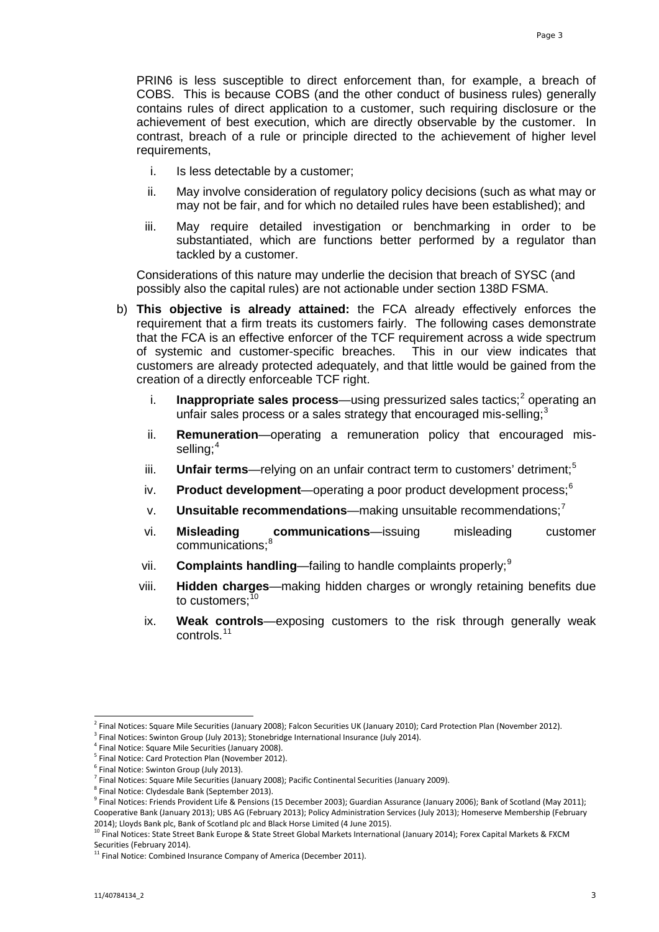PRIN6 is less susceptible to direct enforcement than, for example, a breach of COBS. This is because COBS (and the other conduct of business rules) generally contains rules of direct application to a customer, such requiring disclosure or the achievement of best execution, which are directly observable by the customer. In contrast, breach of a rule or principle directed to the achievement of higher level requirements,

- i. Is less detectable by a customer;
- ii. May involve consideration of regulatory policy decisions (such as what may or may not be fair, and for which no detailed rules have been established); and
- iii. May require detailed investigation or benchmarking in order to be substantiated, which are functions better performed by a regulator than tackled by a customer.

Considerations of this nature may underlie the decision that breach of SYSC (and possibly also the capital rules) are not actionable under section 138D FSMA.

- b) **This objective is already attained:** the FCA already effectively enforces the requirement that a firm treats its customers fairly. The following cases demonstrate that the FCA is an effective enforcer of the TCF requirement across a wide spectrum of systemic and customer-specific breaches. This in our view indicates that customers are already protected adequately, and that little would be gained from the creation of a directly enforceable TCF right.
	- i. **Inappropriate sales process**—using pressurized sales tactics;<sup>[2](#page-2-0)</sup> operating an unfair sales process or a sales strategy that encouraged mis-selling;<sup>[3](#page-2-1)</sup>
	- ii. **Remuneration**—operating a remuneration policy that encouraged mis-selling;<sup>[4](#page-2-2)</sup>
	- iii. **Unfair terms**—relying on an unfair contract term to customers' detriment;<sup>[5](#page-2-3)</sup>
	- iv. **Product development**—operating a poor product development process:<sup>[6](#page-2-4)</sup>
	- v. **Unsuitable recommendations**—making unsuitable recommendations;[7](#page-2-5)
	- vi. **Misleading communications**—issuing misleading customer communications:<sup>[8](#page-2-6)</sup>
	- vii. **Complaints handling**—failing to handle complaints properly;[9](#page-2-7)
	- viii. **Hidden charges**—making hidden charges or wrongly retaining benefits due to customers: $10$
	- ix. **Weak controls**—exposing customers to the risk through generally weak controls.[11](#page-2-9)

<span id="page-2-0"></span><sup>2</sup> Final Notices: Square Mile Securities (January 2008); Falcon Securities UK (January 2010); Card Protection Plan (November 2012).

<span id="page-2-1"></span> $3$  Final Notices: Swinton Group (July 2013); Stonebridge International Insurance (July 2014).

<span id="page-2-3"></span><span id="page-2-2"></span><sup>&</sup>lt;sup>4</sup> Final Notice: Square Mile Securities (January 2008).<br><sup>5</sup> Final Notice: Card Protection Plan (November 2012).

Final Notice: Swinton Group (July 2013).

<span id="page-2-5"></span><span id="page-2-4"></span> $^7$  Final Notices: Square Mile Securities (January 2008); Pacific Continental Securities (January 2009).

<sup>8</sup> Final Notice: Clydesdale Bank (September 2013).

<span id="page-2-7"></span><span id="page-2-6"></span> $9$  Final Notices: Friends Provident Life & Pensions (15 December 2003); Guardian Assurance (January 2006); Bank of Scotland (May 2011); Cooperative Bank (January 2013); UBS AG (February 2013); Policy Administration Services (July 2013); Homeserve Membership (February 2014); Lloyds Bank plc, Bank of Scotland plc and Black Horse Limited (4 June 2015).

<span id="page-2-8"></span><sup>&</sup>lt;sup>10</sup> Final Notices: State Street Bank Europe & State Street Global Markets International (January 2014); Forex Capital Markets & FXCM Securities (February 2014).

<span id="page-2-9"></span><sup>&</sup>lt;sup>11</sup> Final Notice: Combined Insurance Company of America (December 2011).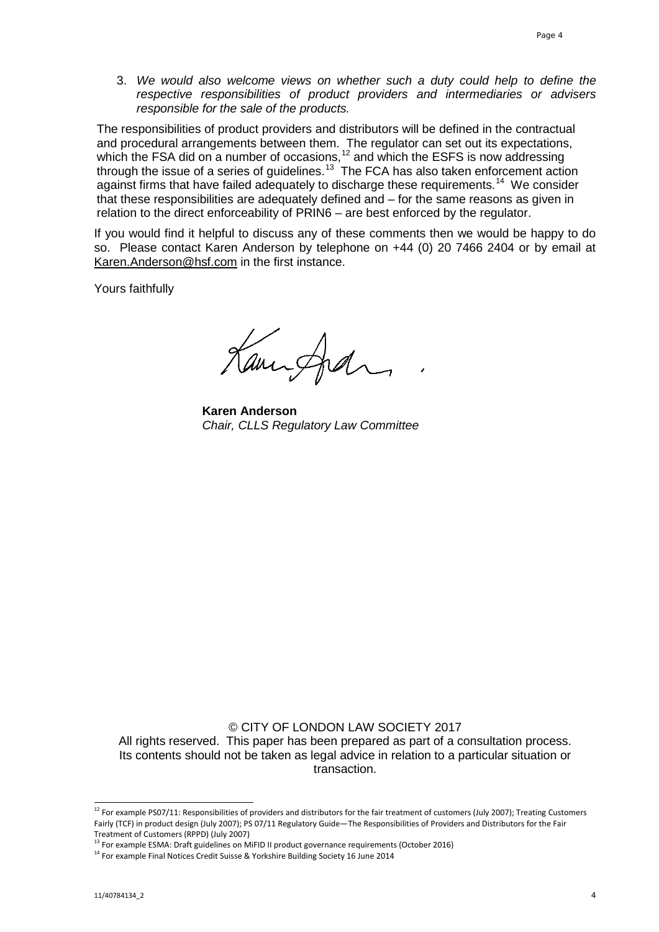3. *We would also welcome views on whether such a duty could help to define the respective responsibilities of product providers and intermediaries or advisers responsible for the sale of the products.*

The responsibilities of product providers and distributors will be defined in the contractual and procedural arrangements between them. The regulator can set out its expectations, which the FSA did on a number of occasions,<sup>[12](#page-3-0)</sup> and which the ESFS is now addressing through the issue of a series of guidelines.<sup>13</sup> The FCA has also taken enforcement action against firms that have failed adequately to discharge these requirements.<sup>14</sup> We consider that these responsibilities are adequately defined and – for the same reasons as given in relation to the direct enforceability of PRIN6 – are best enforced by the regulator.

If you would find it helpful to discuss any of these comments then we would be happy to do so. Please contact Karen Anderson by telephone on +44 (0) 20 7466 2404 or by email at [Karen.Anderson@hsf.com](mailto:Karen.Anderson@hsf.com) in the first instance.

Yours faithfully

Cancida

**Karen Anderson** *Chair, CLLS Regulatory Law Committee*

© CITY OF LONDON LAW SOCIETY 2017

All rights reserved. This paper has been prepared as part of a consultation process. Its contents should not be taken as legal advice in relation to a particular situation or transaction.

<span id="page-3-0"></span><sup>&</sup>lt;sup>12</sup> For example PS07/11: Responsibilities of providers and distributors for the fair treatment of customers (July 2007); Treating Customers Fairly (TCF) in product design (July 2007); PS 07/11 Regulatory Guide—The Responsibilities of Providers and Distributors for the Fair Treatment of Customers (RPPD) (July 2007)

 $13$  For example ESMA: Draft guidelines on MiFID II product governance requirements (October 2016)

<span id="page-3-2"></span><span id="page-3-1"></span> $14$  For example Final Notices Credit Suisse & Yorkshire Building Society 16 June 2014